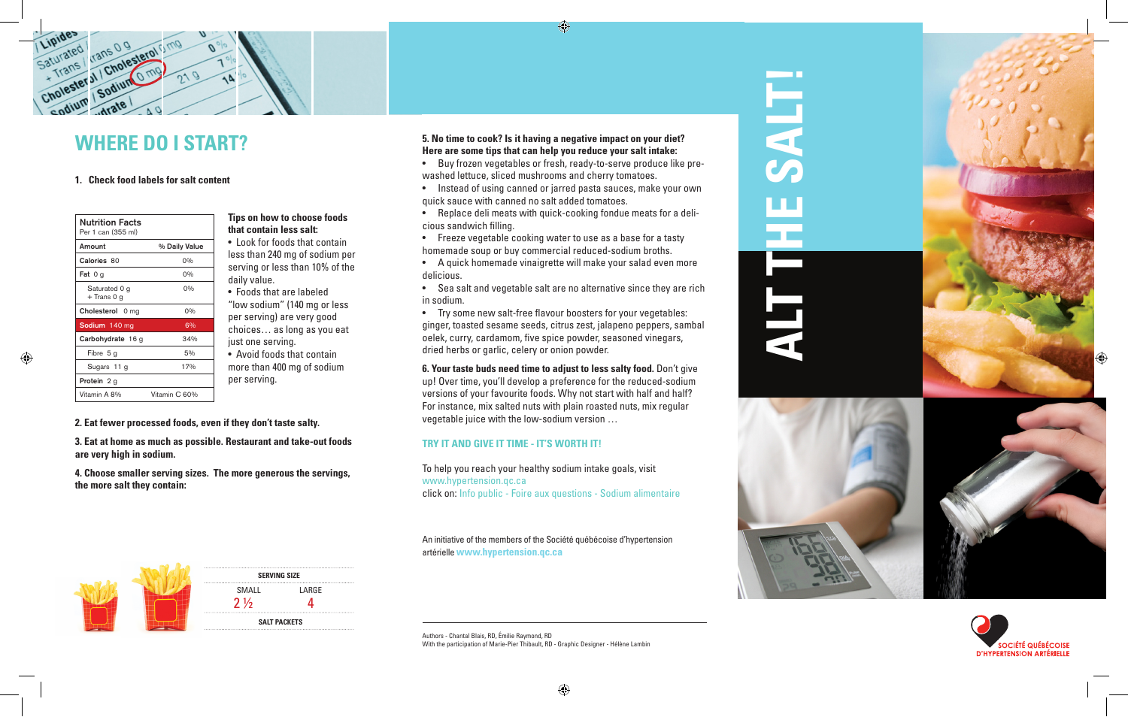

# **WHERE DO I START?**

#### **1. Check food labels for salt content**

| <b>Nutrition Facts</b><br>Per 1 can (355 ml) |               |
|----------------------------------------------|---------------|
| Amount                                       | % Daily Value |
| Calories 80                                  | $0\%$         |
| <b>Fat</b> $0g$                              | $0\%$         |
| Saturated 0 g<br>+ Trans 0 g                 | 0%            |
| Cholesterol 0 mg                             | $0\%$         |
| Sodium 140 mg                                | 6%            |
| Carbohydrate 16 g                            | 34%           |
| Fibre 5 g                                    | 5%            |
| Sugars 11 g                                  | 17%           |
| <b>Protein</b> 2 q                           |               |
| Vitamin A 8%                                 | Vitamin C 60% |

# **Tips on how to choose foods that contain less salt:**  • Look for foods that contain

less than 240 mg of sodium per serving or less than 10% of the daily value. • Foods that are labeled "low sodium" (140 mg or less per serving) are very good choices… as long as you eat just one serving. • Avoid foods that contain more than 400 mg of sodium per serving.

#### **2. Eat fewer processed foods, even if they don't taste salty.**

**3. Eat at home as much as possible. Restaurant and take-out foods are very high in sodium.**

**4. Choose smaller serving sizes. The more generous the servings, the more salt they contain:**

# SMALL LARGE **SERVING SIZE SALT PACKETS**  $2\frac{1}{2}$  4

#### **5. No time to cook? Is it having a negative impact on your diet? Here are some tips that can help you reduce your salt intake:**

• Buy frozen vegetables or fresh, ready-to-serve produce like prewashed lettuce, sliced mushrooms and cherry tomatoes.

 $\bigoplus$ 

- Instead of using canned or jarred pasta sauces, make your own quick sauce with canned no salt added tomatoes.
- • Replace deli meats with quick-cooking fondue meats for a delicious sandwich filling.
- Freeze vegetable cooking water to use as a base for a tasty homemade soup or buy commercial reduced-sodium broths.
- • A quick homemade vinaigrette will make your salad even more delicious.
- Sea salt and vegetable salt are no alternative since they are rich in sodium.
- • Try some new salt-free flavour boosters for your vegetables: ginger, toasted sesame seeds, citrus zest, jalapeno peppers, sambal oelek, curry, cardamom, five spice powder, seasoned vinegars, dried herbs or garlic, celery or onion powder.

**6. Your taste buds need time to adjust to less salty food.** Don't give up! Over time, you'll develop a preference for the reduced-sodium versions of your favourite foods. Why not start with half and half? For instance, mix salted nuts with plain roasted nuts, mix regular vegetable juice with the low-sodium version …

#### **TRY IT AND GIVE IT TIME - IT'S WORTH IT!**

To help you reach your healthy sodium intake goals, visit www.hypertension.qc.ca click on: Info public - Foire aux questions - Sodium alimentaire

An initiative of the members of the Société québécoise d'hypertension artérielle **www.hypertension.qc.ca**

Authors - Chantal Blais, RD, Émilie Raymond, RD With the participation of Marie-Pier Thibault, RD - Graphic Designer - Hélène Lambin

# **ALT THE SALT! TTHE SALT**









 $\bigoplus$ 

⊕